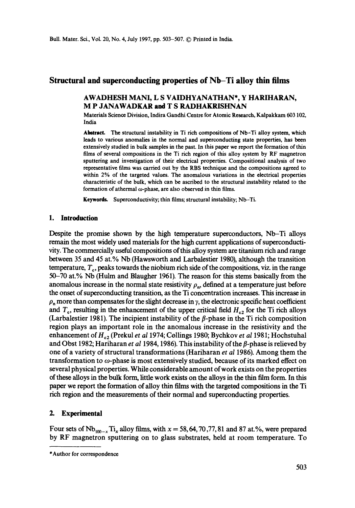# **Structural and superconducting properties of Nb-Ti alloy thin films**

## AWADHESH MANI, L S VAIDHYANATHAN\*, Y HARIHARAN, M P JANAWADKAR and T S RADHAKRISHNAN

Materials Science Division, Indira Gandhi Centre for Atomic Research, Kalpakkam 603 102, India

Abstract. The structural instability in Ti rich compositions of Nb-Ti alloy system, which leads to various anomalies in the normal and superconducting state properties, has been extensively studied in bulk samples in the past. In this paper we report the formation of thin films of several compositions in the Ti rich region of this alloy system by RF magnetron sputtering and investigation of their electrical properties. Compositional analysis of two representative films was carried out by the RBS technique and the compositions agreed to within 2% of the targeted values. The anomalous variations in the electrical properties characteristic of the bulk, which can be ascribed to the structural instability related to the formation of athermal  $\omega$ -phase, are also observed in thin films.

Keywords. Superconductivity; thin films; structural instability; Nb-Ti.

#### **1. Introduction**

Despite the promise shown by the high temperature superconductors, Nb-Ti alloys remain the most widely used materials for the high current applications of superconductivity. The commercially useful compositions of this alloy system are titanium rich and range between 35 and 45 at.% Nb (Hawsworth and Larbalestier 1980), although the transition temperature,  $T_c$ , peaks towards the niobium rich side of the compositions, viz. in the range 50-70 at.% Nb (Hulm and Blaugher 1961). The reason for this stems basically from the anomalous increase in the normal state resistivity  $\rho_n$ , defined at a temperature just before the onset of superconducting transition, as the Ti concentration increases. This increase in  $\rho_n$  more than compensates for the slight decrease in  $\gamma$ , the electronic specific heat coefficient and  $T_c$ , resulting in the enhancement of the upper critical field  $H_{c2}$  for the Ti rich alloys (Larbalestier 1981). The incipient instability of the  $\beta$ -phase in the Ti rich composition region plays an important role in the anomalous increase in the resistivity and the enhancement of  $H_{c2}$  (Prekul *et al 1974; Collings 1980; Bychkov <i>et al 1981; Hochstuhal* and Obst 1982; Hariharan *et al* 1984, 1986). This instability of the  $\beta$ -phase is relieved by one of a variety of structural transformations (Hariharan *et al* 1986). Among them the transformation to  $\omega$ -phase is most extensively studied, because of its marked effect on several physical properties. While considerable amount of work exists on the properties of these alloys in the bulk form, little work exists on the alloys in the thin film form. In this paper we report the formation of alloy thin films with the targeted compositions in the Ti rich region and the measurements of their normal and superconducting properties.

### **2. Experimental**

Four sets of  $Nb_{100-x}Ti_x$  alloy films, with  $x = 58, 64, 70, 77, 81$  and 87 at.%, were prepared by RF magnetron sputtering on to glass substrates, held at room temperature. To

<sup>\*</sup>Author for correspondence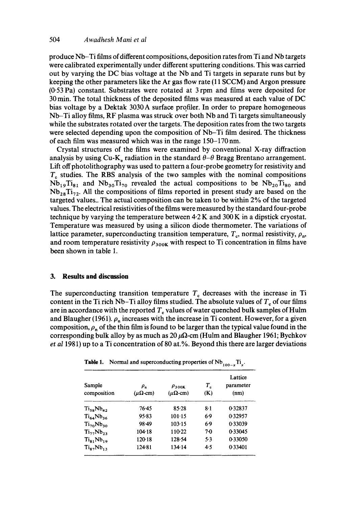produce Nb-Ti films of different compositions, deposition rates from Ti and Nb targets were calibrated experimentally under different sputtering conditions. This was carried out by varying the DC bias voltage at the Nb and Ti targets in separate runs but by keeping the other parameters like the Ar gas flow rate (11 SCCM) and Argon pressure (0-53 Pa) constant. Substrates were rotated at 3 rpm and films were deposited for 30 min. The total thickness of the deposited films was measured at each value of DC bias voltage by a Dektak 3030 A surface profiler. In order to prepare homogeneous Nb-Ti alloy films, RF plasma was struck over both Nb and Ti targets simultaneously while the substrates rotated over the targets. The deposition rates from the two targets were selected depending upon the composition of Nb-Ti film desired. The thickness of each film was measured which was in the range 150-170 nm.

Crystal structures of the films were examined by conventional X-ray diffraction analysis by using Cu-K<sub>a</sub> radiation in the standard  $\theta-\theta$  Bragg Brentano arrangement. Lift off photolithography was used to pattern a four-probe geometry for resistivity and  $T<sub>c</sub>$  studies. The RBS analysis of the two samples with the nominal compositions  $Nb_{19}Ti_{81}$  and  $Nb_{30}Ti_{70}$  revealed the actual compositions to be  $Nb_{20}Ti_{80}$  and  $Nb_{28}Ti_{72}$ . All the compositions of films reported in present study are based on the targeted values.. The actual composition can be taken to be within  $2\%$  of the targeted values. The electrical resistivities of the films were measured by the standard four-probe technique by varying the temperature between 4.2 K and 300 K in a dipstick cryostat. Temperature was measured by using a silicon diode thermometer. The variations of lattice parameter, superconducting transition temperature,  $T_c$ , normal resistivity,  $\rho_n$ , and room temperature resistivity  $\rho_{300K}$  with respect to Ti concentration in films have been shown in table 1.

## **3. Results and discussion**

The superconducting transition temperature  $T<sub>c</sub>$  decreases with the increase in Ti content in the Ti rich Nb-Ti alloy films studied. The absolute values of  $T_c$  of our films are in accordance with the reported  $T_c$  values of water quenched bulk samples of Hulm and Blaugher (1961).  $\rho_n$  increases with the increase in Ti content. However, for a given composition,  $\rho_n$  of the thin film is found to be larger than the typical value found in the corresponding bulk alloy by as much as  $20 \mu\Omega$ -cm (Hulm and Blaugher 1961; Byehkov *et al* 1981) up to a Ti concentration of 80 at.%. Beyond this there are larger deviations

**Table 1.** Normal and superconducting properties of  $Nb_{100-x}Ti_x$ .

| Sample<br>composition | $\rho_{\rm n}$<br>$(\mu \Omega$ -cm) | $\rho_{300K}$<br>$(\mu \Omega$ -cm) | $T_{c}$<br>(K) | Lattice<br>parameter<br>(nm) |
|-----------------------|--------------------------------------|-------------------------------------|----------------|------------------------------|
| $Ti_{58}Nb_{42}$      | 76.45                                | 85.28                               | $8-1$          | 0.32837                      |
| $Ti_{64}Nb_{36}$      | 95.83                                | 101.15                              | 69             | 0.32957                      |
| $Ti_{70}Nb_{30}$      | 98.49                                | 103.15                              | 6.9            | 0.33039                      |
| $Ti_{27}Nb_{23}$      | 104.18                               | 110.22                              | 70             | 0.33045                      |
| $Ti_{81}Nb_{19}$      | $120-18$                             | 128.54                              | 5.3            | 0.33050                      |
| $Ti_{87}Nb_{13}$      | 124.81                               | 134.14                              | 4.5            | 0.33401                      |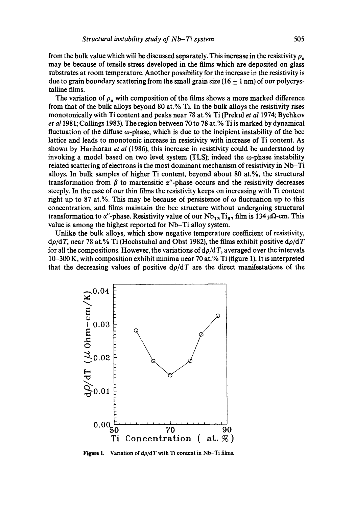from the bulk value which will be discussed separately. This increase in the resistivity  $\rho_n$ may be because of tensile stress developed in the films which are deposited on glass substrates at room temperature. Another possibility for the increase in the resistivity is due to grain boundary scattering from the small grain size ( $16 \pm 1$  nm) of our polycrystalline films.

The variation of  $\rho_n$  with composition of the films shows a more marked difference from that of the bulk alloys beyond 80 at.% Ti. In the bulk alloys the resistivity rises monotonically with Ti content and peaks near 78 at.% Ti (Prekul *et al* 1974; Bychkov *et a11981;* Collings 1983). The region between 70 to 78 at.% Ti is marked by dynamical fluctuation of the diffuse  $\omega$ -phase, which is due to the incipient instability of the bcc lattice and leads to monotonic increase in resistivity with increase of Ti content. As shown by Hariharan *et al* (1986), this increase in resistivity could be understood by invoking a model based on two level system (TLS); indeed the  $\omega$ -phase instability related scattering of electrons is the most dominant mechanism of resistivity in Nb-Ti alloys. In bulk samples of higher Ti content, beyond about 80 at.%, the structural transformation from  $\beta$  to martensitic  $\alpha$ "-phase occurs and the resistivity decreases steeply. In the case of our thin films the resistivity keeps on increasing with Ti content right up to 87 at.%. This may be because of persistence of  $\omega$  fluctuation up to this concentration, and films maintain the bcc structure without undergoing structural transformation to  $\alpha''$ -phase. Resistivity value of our Nb<sub>13</sub>Ti<sub>87</sub> film is 134  $\mu\Omega$ -cm. This value is among the highest reported for Nb-Ti alloy system.

Unlike the bulk alloys, which show negative temperature coefficient of resistivity, *dp/dT,* near 78 at.% Ti (Hochstuhal and Obst 1982), the films exhibit positive *dp/dT*  for all the compositions. However, the variations of  $d\rho/dT$ , averaged over the intervals  $10-300$  K, with composition exhibit minima near 70 at.% Ti (figure 1). It is interpreted that the decreasing values of positive  $d\rho/dT$  are the direct manifestations of the



**Figure 1.** Variation of  $d\rho/dT$  with Ti content in Nb-Ti films.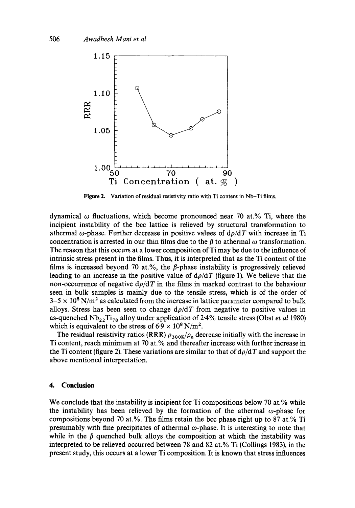

Figure 2. Variation of residual resistivity ratio with Ti content in Nb-Ti films.

dynamical  $\omega$  fluctuations, which become pronounced near 70 at.% Ti, where the incipient instability of the bcc lattice is relieved by structural transformation to athermal  $\omega$ -phase. Further decrease in positive values of  $d\rho/dT$  with increase in Ti concentration is arrested in our thin films due to the  $\beta$  to athermal  $\omega$  transformation. The reason that this occurs at a lower composition of Ti may be due to the influence of intrinsic stress present in the films. Thus, it is interpreted that as the Ti content of the films is increased beyond 70 at.%, the  $\beta$ -phase instability is progressively relieved leading to an increase in the positive value of  $d\rho/dT$  (figure 1). We believe that the non-occurrence of negative  $d\rho/dT$  in the films in marked contrast to the behaviour seen in bulk samples is mainly due to the tensile stress, which is of the order of  $3-5 \times 10^8$  N/m<sup>2</sup> as calculated from the increase in lattice parameter compared to bulk alloys. Stress has been seen to change  $d\rho/dT$  from negative to positive values in as-quenched Nb22Ti78 alloy under application of 2.4% tensile stress (Obst *et al* 1980) which is equivalent to the stress of  $6.9 \times 10^8$  N/m<sup>2</sup>.

The residual resistivity ratios (RRR)  $\rho_{300K}/\rho_n$  decrease initially with the increase in Ti content, reach minimum at 70 at.% and thereafter increase with further increase in the Ti content (figure 2). These variations are similar to that of  $d\rho/dT$  and support the above mentioned interpretation.

### **4. Conclusion**

We conclude that the instability is incipient for Ti compositions below 70 at.% while the instability has been relieved by the formation of the athermal  $\omega$ -phase for compositions beyond 70 at.%. The films retain the bcc phase right up to 87 at.% Ti presumably with fine precipitates of athermal  $\omega$ -phase. It is interesting to note that while in the  $\beta$  quenched bulk alloys the composition at which the instability was interpreted to be relieved occurred between 78 and 82 at.% Ti (Collings 1983), in the present study, this occurs at a lower Ti composition. It is known that stress influences